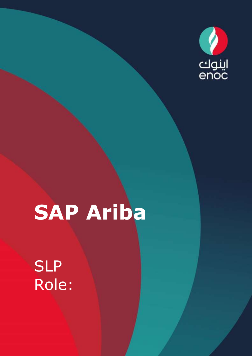

# **SAP Ariba**

Classification: ENOC Public

## **SLP** Role: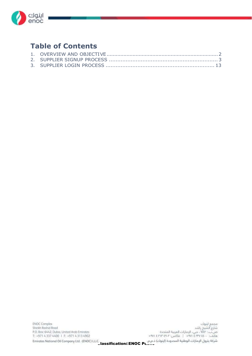

#### **Table of Contents**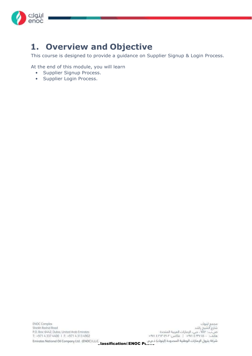

#### **1. Overview and Objective**

This course is designed to provide a guidance on Supplier Signup & Login Process.

At the end of this module, you will learn

- Supplier Signup Process.
- Supplier Login Process.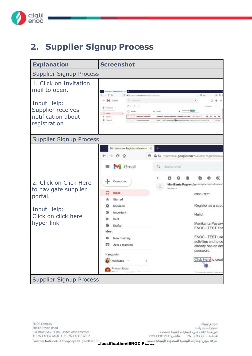

### **2. Supplier Signup Process**



Jassification3ENOC Public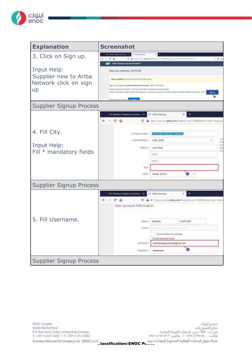

| <b>Explanation</b>                                                                          | <b>Screenshot</b>                                                                                                                                                                                                                                                                                                                                                                                                                                                                                                                                                                                    |                                                                                       |                 |         |                  |
|---------------------------------------------------------------------------------------------|------------------------------------------------------------------------------------------------------------------------------------------------------------------------------------------------------------------------------------------------------------------------------------------------------------------------------------------------------------------------------------------------------------------------------------------------------------------------------------------------------------------------------------------------------------------------------------------------------|---------------------------------------------------------------------------------------|-----------------|---------|------------------|
| 3. Click on Sign up.<br>Input Help:<br>Supplier new to Ariba<br>Network click on sign<br>up | or Allia Grenolds<br>(1) Installation the ground for bankware<br>$\rightarrow$<br>Œ.<br>$\omega$<br>Arisa Proposals and Germionwine<br>Welcome, MANUAL SUPPLIER<br>Have a question? Citch have to see a Guide Start guide.<br>Sign up as a supplier with Benkeles National Oil Company - TEST on SAP Artist<br>Birlistes Awaixial Oli Compley - TEST york SAF All to in menup pictureners activities.<br>Create an SAP Altha supplier account and insisian your importer to produce test activities regulated by Eminetes National OE Company - TEST.<br><b>Altrick Local on Armida's Concerning</b> | C & Handletter #Bacon Form particulate Charlash                                       |                 | Signale | $- 58.0$         |
| <b>Supplier Signup Process</b>                                                              |                                                                                                                                                                                                                                                                                                                                                                                                                                                                                                                                                                                                      |                                                                                       |                 |         |                  |
|                                                                                             | <sup>14</sup> Imitation: Register to become X<br>$\leftarrow$ $\rightarrow$ $C$ $\Omega$<br>o                                                                                                                                                                                                                                                                                                                                                                                                                                                                                                        | - Ariba Sourcing<br>https://service.ariba.com/Register.aw/124988040/aw?awh=r8awssl    | ×               |         |                  |
| 4. Fill City.                                                                               | Company Name. <sup>4</sup>                                                                                                                                                                                                                                                                                                                                                                                                                                                                                                                                                                           | SUPPLIER REQUEST MANUAL                                                               |                 |         |                  |
|                                                                                             | Country/Region:*                                                                                                                                                                                                                                                                                                                                                                                                                                                                                                                                                                                     | India (IND)                                                                           |                 |         | Fу<br>erts<br>mo |
| Input Help:<br>Fill * mandatory fields                                                      | Address:*                                                                                                                                                                                                                                                                                                                                                                                                                                                                                                                                                                                            | <b>Jyne Road</b>                                                                      |                 |         | йk               |
|                                                                                             |                                                                                                                                                                                                                                                                                                                                                                                                                                                                                                                                                                                                      | Line 2<br>Line 3                                                                      |                 |         |                  |
|                                                                                             | City                                                                                                                                                                                                                                                                                                                                                                                                                                                                                                                                                                                                 |                                                                                       |                 |         |                  |
|                                                                                             | 5tate:+                                                                                                                                                                                                                                                                                                                                                                                                                                                                                                                                                                                              | Kerate [IN-KL]                                                                        |                 |         |                  |
| <b>Supplier Signup Process</b>                                                              |                                                                                                                                                                                                                                                                                                                                                                                                                                                                                                                                                                                                      |                                                                                       |                 |         |                  |
|                                                                                             | <sup>p-4</sup> Invitation: Register to become X<br>$\leftarrow$ $\rightarrow$ $\alpha$ $\alpha$<br>User account information                                                                                                                                                                                                                                                                                                                                                                                                                                                                          | Ariba Sourcing<br>D A => https://service.ariba.com/Register.aw/124968040/aw/awls=r8uw |                 |         |                  |
| 5. Fill Username.                                                                           | Namé:*                                                                                                                                                                                                                                                                                                                                                                                                                                                                                                                                                                                               | MANUAL                                                                                | <b>SUPPLIER</b> |         |                  |
|                                                                                             | Email: <sup>4</sup>                                                                                                                                                                                                                                                                                                                                                                                                                                                                                                                                                                                  | <b>Parkers</b>                                                                        |                 |         |                  |
|                                                                                             |                                                                                                                                                                                                                                                                                                                                                                                                                                                                                                                                                                                                      | Use my email as my usemame.<br>Emvalid usemame format                                 |                 |         |                  |
|                                                                                             | Usemame:"                                                                                                                                                                                                                                                                                                                                                                                                                                                                                                                                                                                            | mankantapayyavula@gmail.com                                                           |                 |         |                  |
|                                                                                             | Password:"                                                                                                                                                                                                                                                                                                                                                                                                                                                                                                                                                                                           | ********                                                                              |                 |         |                  |
| <b>Supplier Signup Process</b>                                                              |                                                                                                                                                                                                                                                                                                                                                                                                                                                                                                                                                                                                      |                                                                                       |                 |         |                  |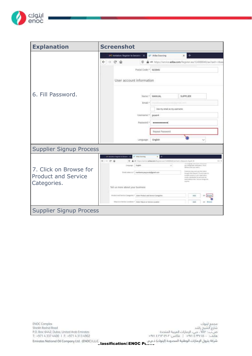

| <b>Explanation</b>             | <b>Screenshot</b>                                                   |                                                                                                                                                                                                                               |
|--------------------------------|---------------------------------------------------------------------|-------------------------------------------------------------------------------------------------------------------------------------------------------------------------------------------------------------------------------|
|                                | <sup>1</sup> Imitation: Register to become X                        | T Ariba Sounding                                                                                                                                                                                                              |
|                                | $\leftarrow$ $\rightarrow$<br>$C$ $\Omega$<br>o                     | wo https://service.ariba.com/Register.aw/124968040/aw?awft=r8/aw                                                                                                                                                              |
|                                | Postal Code: 4 923945                                               |                                                                                                                                                                                                                               |
|                                | User account information                                            |                                                                                                                                                                                                                               |
| 6. Fill Password.              | Nome:*                                                              | MANUAL<br><b>SUPPLIER</b>                                                                                                                                                                                                     |
|                                | Email:*                                                             |                                                                                                                                                                                                                               |
|                                |                                                                     | Use my email as my usemame                                                                                                                                                                                                    |
|                                | Username:*<br>puseed                                                |                                                                                                                                                                                                                               |
|                                | Password:*<br>***********                                           |                                                                                                                                                                                                                               |
|                                |                                                                     | Repeat Password                                                                                                                                                                                                               |
|                                | Language:                                                           | English                                                                                                                                                                                                                       |
| <b>Supplier Signup Process</b> |                                                                     |                                                                                                                                                                                                                               |
|                                | Arthur Scientiston<br>(4) Installate Report to b                    | u                                                                                                                                                                                                                             |
|                                | $6 - 0.9$<br>Đ.<br>造                                                | HE RELEVANSION AFEALOON THERE AND LEARNED REPAIRING - Channel - Could Are<br>ass.                                                                                                                                             |
| 7. Click on Browse for         | English<br>Linguage                                                 | We confidently militarizes. File is<br>×.<br>Minestrial years in a                                                                                                                                                            |
| <b>Product and Service</b>     | Environment (conferencementally note)                               | The convention and construction of the con-<br>through AUDA Hamson, Thusseal entities in<br>muslate-Letturan/Avaluation/<br>clopp a distribution interesting the<br>towall politician limit. You can change ship<br>staffons. |
| Categories.                    | Tell us more about your business                                    |                                                                                                                                                                                                                               |
|                                | Product and Service Comprons * . Exter Product and herece Comprises | <b>Febt</b>                                                                                                                                                                                                                   |
|                                | libip on or Service Lacations + : Enter Ship on an Service Location | Askt<br><b>Blanch</b>                                                                                                                                                                                                         |
| <b>Supplier Signup Process</b> |                                                                     |                                                                                                                                                                                                                               |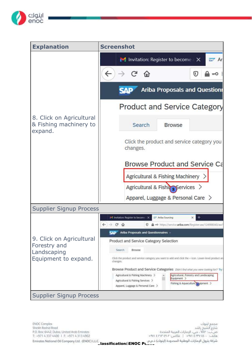

| <b>Explanation</b>                                            | <b>Screenshot</b>                                                                                                                                                                                         |  |
|---------------------------------------------------------------|-----------------------------------------------------------------------------------------------------------------------------------------------------------------------------------------------------------|--|
|                                                               | <b>M</b> Invitation: Register to become $\in$ $\times$<br>say Ar                                                                                                                                          |  |
|                                                               | $\leftarrow$<br>C ଜ<br>v<br>$\pi$ O                                                                                                                                                                       |  |
|                                                               | <b>Ariba Proposals and Questionr</b><br><b>SAP</b>                                                                                                                                                        |  |
|                                                               | <b>Product and Service Category</b>                                                                                                                                                                       |  |
| 8. Click on Agricultural<br>& Fishing machinery to<br>expand. | Search<br><b>Browse</b>                                                                                                                                                                                   |  |
|                                                               | Click the product and service category you<br>changes.                                                                                                                                                    |  |
|                                                               | <b>Browse Product and Service Ca</b>                                                                                                                                                                      |  |
|                                                               | Agricultural & Fishing Machinery >                                                                                                                                                                        |  |
|                                                               | Agricultural & Fishing Services >                                                                                                                                                                         |  |
|                                                               | Apparel, Luggage & Personal Care >                                                                                                                                                                        |  |
| <b>Supplier Signup Process</b>                                |                                                                                                                                                                                                           |  |
|                                                               | - Ariba Sourcing<br>M. Invitation: Register to become: X<br>$\leftrightarrow$ $\rightarrow$ $\circ$ $\circ$<br>- + https://service.ariba.com/Register.aw/124988040/awi<br>⊕                               |  |
| 9. Click on Agricultural                                      | Ariba Proposals and Questionnaires<br>Product and Service Category Selection                                                                                                                              |  |
| Forestry and                                                  | Search<br>Browse                                                                                                                                                                                          |  |
| Landscaping<br>Equipment to expand.                           | Click the product and service category you want to add and click the + icon. Lower-level product an<br>changes.                                                                                           |  |
|                                                               | Browse Product and Service Categories Didn't find what you were looking for? Try                                                                                                                          |  |
|                                                               | Agricultural & Fishing Machinery<br>Agricultural, Forestry and Landscaping<br>Equipment ><br>Agricultural & Fishing Services ><br>Fishing & Aquaculture > proment ><br>Apparel, Luggage & Personal Care > |  |
| <b>Supplier Signup Process</b>                                |                                                                                                                                                                                                           |  |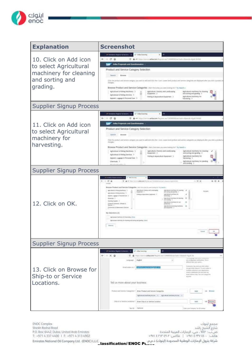

| <b>Explanation</b>                                                                                       | <b>Screenshot</b>                                                                                                                                                                                                                                                                                                                                                                                                                                                                                                                                                                                                                                                                                                                                                                                                                                                                                                                                                                                                    |
|----------------------------------------------------------------------------------------------------------|----------------------------------------------------------------------------------------------------------------------------------------------------------------------------------------------------------------------------------------------------------------------------------------------------------------------------------------------------------------------------------------------------------------------------------------------------------------------------------------------------------------------------------------------------------------------------------------------------------------------------------------------------------------------------------------------------------------------------------------------------------------------------------------------------------------------------------------------------------------------------------------------------------------------------------------------------------------------------------------------------------------------|
| 10. Click on Add icon<br>to select Agricultural<br>machinery for cleaning<br>and sorting and<br>grading. | IFF Installation Register to beat<br>EP Arka Sources<br>$\leftarrow$ $\rightarrow$ $\alpha$ $\alpha$<br>1 A <> fmp.clervizoada.com/Finime.au/Sim0004lt/web=chaves-rigid_luttil<br>SAP <sup>1</sup><br>Arita Proposals and Questionnairm.<br>Product and Service Category Selection<br>literate<br>Seattre<br>Click the product and interest company you won't bired data the + scan. Lower level product and termine companys are displayed after you click in product in<br>chiorates.<br>Browse Product and Service Categories - burntschate parameterize for Ty leasthe<br>Agricultural is Finling Machinery 2<br>Agricultural, investig with Lendscoping<br>Aploutual michinery for closing<br>Гадаревтг. ><br>and sering and grading. 5<br>Agricultural & Fieldog Services ><br>Aptolluratinathiney for<br>Firing & Aquisition Daigness  )<br>Apparel, Luggage & Personal Cent ><br>luvesing 3                                                                                                                  |
| <b>Supplier Signup Process</b>                                                                           |                                                                                                                                                                                                                                                                                                                                                                                                                                                                                                                                                                                                                                                                                                                                                                                                                                                                                                                                                                                                                      |
| 11. Click on Add icon<br>to select Agricultural<br>machinery for<br>harvesting.                          | of instatus feature to become. X.<br>IP Alla Souths<br>$\leftarrow$ $\circ$ $\circ$<br>10 全+ http://wvitra4bxoev1vjiimcw/12010000/w/wh-ibend-fizil.ftmd<br>Artha Proposals and Questionnaires -<br>CAD<br>Product and Service Category Selection<br><b>Search</b><br>Woute<br>CHE Pe project and series samply you went to add and click the + tom. Lywer-lead product and service samppeas are shalled after you slith a product a<br>changes.<br>Bruwse Product and Service Categories sterrited war you were looking for " by Sturdy -<br>Agricultural & Holeng Mechinery 3<br>Agricultural, Formity and Landscaping<br>igreatural machinery his clearing<br>Sagment ><br>and sorting and graving. ><br>Adrioxitural & Haning Services ><br>Fulling & Association Equipment 2<br>Agrestiani: reachinery for<br>Apparel, Lugguge & Personal Cere 7<br>havesing ><br>Agricultural mechinery for planting<br>Chermats 2<br>and sending 3                                                                             |
| <b>Supplier Signup Process</b>                                                                           |                                                                                                                                                                                                                                                                                                                                                                                                                                                                                                                                                                                                                                                                                                                                                                                                                                                                                                                                                                                                                      |
| 12. Click on OK.                                                                                         | AR, basketon Nepater et in<br>$-0.9$<br>$m \equiv \bar{\Omega}$<br>$0.4 - 0.$<br>arrest administration and<br>in a Vaport Christian<br>的 红 串<br>manger<br>Browne Postart and Service Categories matchmodulus constants to the best a<br>Agrostmast, Wolvery And Landscaping<br>agitivities is Foring Machinery 11<br>Aprication at studential for close<br>fills partial<br>and some and grants. 3<br><b>Walentehl 3</b><br>Agricultural a Halleng SAVIGAL 3<br>Appointed mainteen for<br>Fishing & Alexandrey Elephonese (3)<br>depoint, Luggage & Personal Date 13.<br>Iveredag .)<br>Determined 2<br>Apricational Insertimes for planning<br>and rending. It<br>Doving Superc 11<br>Aptulare italiens for sell<br>Dompset Harmont, Silliard S.<br>preparation 3<br>Aginatural promotive mediates<br>Corporation & Martinhams Selvines<br>asingamen )<br>Ny Selections (2)<br>rights are mailinny for hereining private<br>Sphort care maximely be shared good using and plating. Wend<br><b>Firmus</b><br>Calment |
| <b>Supplier Signup Process</b>                                                                           |                                                                                                                                                                                                                                                                                                                                                                                                                                                                                                                                                                                                                                                                                                                                                                                                                                                                                                                                                                                                                      |
| 13. Click on Browse for<br>Ship-to or Service<br>Locations.                                              | of Indane highly to beam<br>ET Atka housing<br>$\leftrightarrow$ $\times$ $\circ$<br>X)<br>٠<br>https://lervincariba.com/Registricals/12/00003002av/levin-riferensit-Rigid/ fr<br><b>Address</b><br>in copies too<br><b>Gradich</b><br>pay companies methodoles. This is<br>Lenguego <sup>1</sup><br>w<br>attent tut you set a.<br>Carlement Highland plu draft ceders<br>Email pressure 1.7<br>Fia preventativement sem<br>(Intra-gill, Al-Bag Statesco). This taked upolane in-<br>Hullyle created for paix regulations.<br>(mixed to distribution) list and enter than<br>productions have the tax trange tree<br>produces.<br>Tell un more about your business<br>Protect and forvite Campoorn." Dree Product and Service Categories<br>de-Britain<br><b>Jakit</b><br>Amountsvilley from: 1 Aprobations to the  2<br>This is to if Service Locations." Every Map to an Service Location<br>AzM<br>Tee III Quinest<br>Enter your Sempsing Tel: 42 Kentiled                                                        |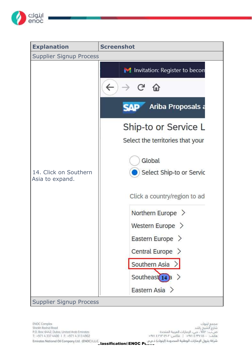

| <b>Explanation</b>                       | <b>Screenshot</b>                                        |
|------------------------------------------|----------------------------------------------------------|
| <b>Supplier Signup Process</b>           |                                                          |
|                                          | M Invitation: Register to becom<br>$\leftarrow$<br>$C$ a |
|                                          | <b>Ariba Proposals a</b><br><b>SAP</b>                   |
|                                          | Ship-to or Service L<br>Select the territories that your |
| 14. Click on Southern<br>Asia to expand. | Global<br>Select Ship-to or Servic                       |
|                                          | Click a country/region to ad                             |
|                                          | Northern Europe $\geq$                                   |
|                                          | Western Europe $\geq$                                    |
|                                          | Eastern Europe >                                         |
|                                          | Central Europe $\geq$                                    |
|                                          | Southern Asia                                            |
|                                          | Southeast $14 \text{ h}$ >                               |
|                                          | Eastern Asia $>$                                         |
| <b>Supplier Signup Process</b>           |                                                          |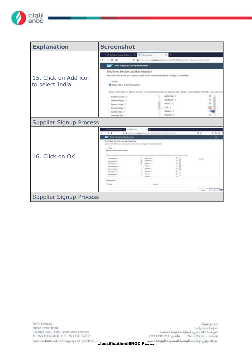

| <b>Explanation</b>                        | <b>Screenshot</b>                                                                                                                                                                                                                                                                                                                                                                                                                                                                                                                                                                                            |
|-------------------------------------------|--------------------------------------------------------------------------------------------------------------------------------------------------------------------------------------------------------------------------------------------------------------------------------------------------------------------------------------------------------------------------------------------------------------------------------------------------------------------------------------------------------------------------------------------------------------------------------------------------------------|
| 15. Click on Add icon<br>to select India. | infl. trechistory. Register to become 24<br>ar Arina Sourcing<br>$\epsilon \rightarrow c \cdot \rho$<br>C & tron (2white at hazon Tepster and 124981040 inclusively expected that first of<br>Ariba Proposals and Questionnaices<br><b>SAD</b><br>Ship-to or Service Location Selection<br>Select the territories that your company nerves. If your company offers global coverage, choose Global.<br>Global<br>Select Ship-to or Service Locations                                                                                                                                                          |
| <b>Supplier Signup Process</b>            | Click a soortryimgen to add and click the + issn. States or provinces are displayed ofter you click a countryingen. Click OK to save your chan<br>Alghamstan ><br>Northern Europe . 2<br>⊛<br>Bangudein 3<br>Wastern Europe 3<br>G)<br>Britten ><br>Eastern Europe<br>infa 3<br>Central Europe ><br>Malchess 2<br>Southern Asia. ><br>Myanmar 3<br>Southeast Asia - 3                                                                                                                                                                                                                                        |
|                                           | <b>34 benefice financial proper</b><br>27 Michael                                                                                                                                                                                                                                                                                                                                                                                                                                                                                                                                                            |
| 16. Click on OK.                          | $-0.9$<br>$-0.5$<br>热口者<br>U. A. Washington a basical finishing firms<br><b>Briefs digit John</b><br><b>Atha Projeture and Quickermaker</b><br>tap"<br>œ<br>Ship-to or Service Location Selection<br>looks) the termining that your company serves. A year company offers global coverage, checket blooks.<br><b>Jacket</b><br>The factory department for the company<br>TAK a resource agree on add over this doesn't food. If possible in presented and displayment that a possible in preventing on 1994 CM to summit the special<br>佳<br>idghammat 3<br>Debickment 5<br>\$1,819<br>o.<br>therapeatraly 3 |
|                                           | David departed. 3<br>世<br>Midali, F<br>The Carddones 3<br>India (3)<br><b>Kirkins Earns 3</b><br>ω<br>Glasburn, U<br>Weiser Gross 11<br>田<br><b>Magnesia C</b><br>Salero Rimeo 7<br>世<br>Novi 3<br><b>CHARLINGH T</b><br>m.<br>School College<br>trial distancing (d)<br>9 nm<br><b>Renigna</b><br>Déset.                                                                                                                                                                                                                                                                                                    |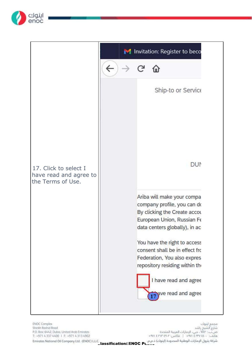

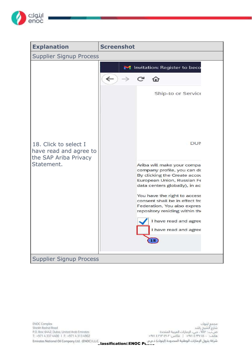

| <b>Explanation</b>                                                                     | <b>Screenshot</b>                                                                                                                                                                                                                                                                                                                                                                                                                      |
|----------------------------------------------------------------------------------------|----------------------------------------------------------------------------------------------------------------------------------------------------------------------------------------------------------------------------------------------------------------------------------------------------------------------------------------------------------------------------------------------------------------------------------------|
| <b>Supplier Signup Process</b>                                                         |                                                                                                                                                                                                                                                                                                                                                                                                                                        |
| 18. Click to select I<br>have read and agree to<br>the SAP Ariba Privacy<br>Statement. | M Invitation: Register to beco<br>$\leftarrow$<br>C<br>仚<br>Ship-to or Service<br>DUM<br>Ariba will make your compa<br>company profile, you can do<br>By clicking the Create accou<br>European Union, Russian Fe<br>data centers globally), in ac<br>You have the right to access<br>consent shall be in effect fro<br>Federation, You also expres<br>repository residing within the<br>I have read and agree<br>I have read and agree |
| <b>Supplier Signup Process</b>                                                         |                                                                                                                                                                                                                                                                                                                                                                                                                                        |

تشركة بترول الإمارات الوطنية المحدودة (اينوك) ذ.م.م.<br>— Lassification:LENOC Public 12 - Alexies Nation: ENOC Public 1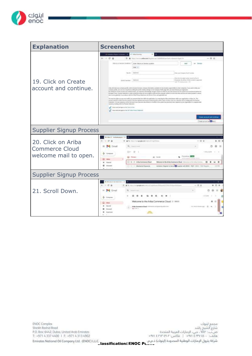

| <b>Explanation</b>                                           | <b>Screenshot</b>                                                                                                                                                                                                                                                                                                                                                                                                                                                                                                                                                                                                                                                                                                                                                                       |                             |  |  |
|--------------------------------------------------------------|-----------------------------------------------------------------------------------------------------------------------------------------------------------------------------------------------------------------------------------------------------------------------------------------------------------------------------------------------------------------------------------------------------------------------------------------------------------------------------------------------------------------------------------------------------------------------------------------------------------------------------------------------------------------------------------------------------------------------------------------------------------------------------------------|-----------------------------|--|--|
|                                                              | of automotive information.<br>27 Adamsed                                                                                                                                                                                                                                                                                                                                                                                                                                                                                                                                                                                                                                                                                                                                                |                             |  |  |
|                                                              | $+ 0.09$<br>$0 - h$<br>Micro-Hartmond and accords the processed CDA1000042 and hardwards relaxation (quali fit                                                                                                                                                                                                                                                                                                                                                                                                                                                                                                                                                                                                                                                                          | $-00$                       |  |  |
|                                                              | top is or twice Unation. <sup>4</sup> Dige 1900 in Deverse profile.<br>ALC U                                                                                                                                                                                                                                                                                                                                                                                                                                                                                                                                                                                                                                                                                                            |                             |  |  |
|                                                              | <b>SHEAT IT</b>                                                                                                                                                                                                                                                                                                                                                                                                                                                                                                                                                                                                                                                                                                                                                                         |                             |  |  |
|                                                              | Tax (D. Distance)<br>Mar gran Cenesrie, Tax (Crimerism                                                                                                                                                                                                                                                                                                                                                                                                                                                                                                                                                                                                                                                                                                                                  |                             |  |  |
| 19. Click on Create                                          | line meyes agt runner moet to Jun 8.<br>Bureaux, By Jelace, DODA cuicker in apparents<br>2010 heres: 188-mi<br>and "I" is lost account: [1]                                                                                                                                                                                                                                                                                                                                                                                                                                                                                                                                                                                                                                             |                             |  |  |
| account and continue.                                        | Alliance and in many please commencers specified, substitute developers than the parties<br>painted discuss to strop comparison. If you<br>company profits, pour unit do un anystme top entiting his positive weekling surrous command entitles plage allers pour team diversion pro registrations.<br>(b) tinding the Directo private and continue tested, and hassening and environmental contact scribballing paid of the paid state interest (ex) that the current outside testimate and the<br>Business finals, Robbey Heledistry of direct products where you are published to what the computer trainers an when the Mita Jamma are helded publish in versus<br>like consist global (2). In ancordents with the Wilse Primery Statement, Into Tanno of University applicable law |                             |  |  |
|                                                              | technology (\$1.1) access and troll cover aeremai cars formality (the application) correcting the individual services with your expectation or relay, and This<br>a notwith that Mr to a flood from the market I find been guestial and may be novined by given without radiate in this J. Jon are a Nation of this to making address to them<br>Formation: You play expressly continer that use of your personal also entered modified to the symmetric previous) mean tapeans to your regardington in a released data.<br>since twisting wides too Tussian Subs-trans<br>1 I have searched upon to the Server, or loss                                                                                                                                                                |                             |  |  |
|                                                              | The a net and ages in the SAT lates move between                                                                                                                                                                                                                                                                                                                                                                                                                                                                                                                                                                                                                                                                                                                                        | Create account and continue |  |  |
| <b>Contractor of Blass</b><br><b>Supplier Signup Process</b> |                                                                                                                                                                                                                                                                                                                                                                                                                                                                                                                                                                                                                                                                                                                                                                                         |                             |  |  |
|                                                              | PERMIT SYNANIA<br>$\mathbb{Z}$ . $\mathbb{Z}^p$<br>U & fa. monmail prodecommaked in portions                                                                                                                                                                                                                                                                                                                                                                                                                                                                                                                                                                                                                                                                                            | $-0.0$<br>W1. TD            |  |  |
| 20. Click on Ariba                                           | <b>M</b> Comail<br>Q bettered                                                                                                                                                                                                                                                                                                                                                                                                                                                                                                                                                                                                                                                                                                                                                           |                             |  |  |
| <b>Commerce Cloud</b>                                        | $II - 0$<br>Exhibited                                                                                                                                                                                                                                                                                                                                                                                                                                                                                                                                                                                                                                                                                                                                                                   | 1-RULLER 1                  |  |  |
| welcome mail to open.                                        | Provokine 1777<br>E Rees<br>$22.$ Texas                                                                                                                                                                                                                                                                                                                                                                                                                                                                                                                                                                                                                                                                                                                                                 |                             |  |  |
|                                                              | $\Box$ when<br>1 0: 11 Athe Externa or Cloud<br>Webcone to the Ariba Euromanos Oboat - minimum in the Arthu Euroma.<br><b>Ballet</b>                                                                                                                                                                                                                                                                                                                                                                                                                                                                                                                                                                                                                                                    | ٠<br>Ŵ.<br>۰<br>ю           |  |  |
|                                                              | a<br>Straigent<br>wylosom Register to here and Mussiles with ENVIC - TEST - Liston - That they can<br><b>CONTROL Marketin Percensis</b>                                                                                                                                                                                                                                                                                                                                                                                                                                                                                                                                                                                                                                                 | 112,953                     |  |  |
| <b>Supplier Signup Process</b>                               |                                                                                                                                                                                                                                                                                                                                                                                                                                                                                                                                                                                                                                                                                                                                                                                         |                             |  |  |
|                                                              | <b>31 Nilsan Grie total</b>                                                                                                                                                                                                                                                                                                                                                                                                                                                                                                                                                                                                                                                                                                                                                             |                             |  |  |
|                                                              | $8 - 0.0$<br>E. & S. recommendate interests<br>ACTOTHING IN CONSULTING TANKS                                                                                                                                                                                                                                                                                                                                                                                                                                                                                                                                                                                                                                                                                                            | $-70.01$<br>第 四 章           |  |  |
| 21. Scroll Down.                                             | $=$ $M$ Gmail<br>۵                                                                                                                                                                                                                                                                                                                                                                                                                                                                                                                                                                                                                                                                                                                                                                      |                             |  |  |
|                                                              | Ð<br><b>Complete</b>                                                                                                                                                                                                                                                                                                                                                                                                                                                                                                                                                                                                                                                                                                                                                                    | TO LOS-<br>- 2<br>×         |  |  |
|                                                              | Welcome to the Ariba Commerce Cloud D IRRIN<br>$\Box$ into                                                                                                                                                                                                                                                                                                                                                                                                                                                                                                                                                                                                                                                                                                                              |                             |  |  |
|                                                              | & Blazed<br>Arke Elemente Clear Inhibitative programma alla Jurin<br>as follow in<br>۰<br><b>Street and</b>                                                                                                                                                                                                                                                                                                                                                                                                                                                                                                                                                                                                                                                                             | EXCREMENTATION AND THE COM- |  |  |
|                                                              | Ingenteri<br>×                                                                                                                                                                                                                                                                                                                                                                                                                                                                                                                                                                                                                                                                                                                                                                          |                             |  |  |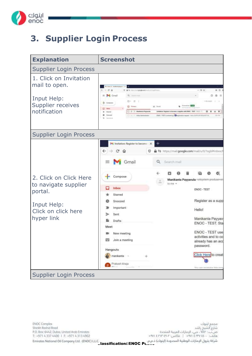

#### **3. Supplier Login Process**



**ENOC Complex** Sheikh Rashid Road P.O. Box: 6442, Dubai, United Arab Emirates T: +971 4 337 4400 | F: +971 4 313 4902

Jassification: ENOC Public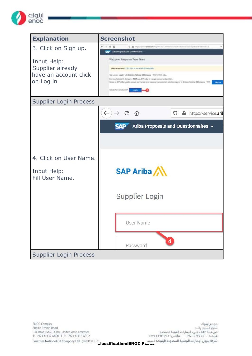

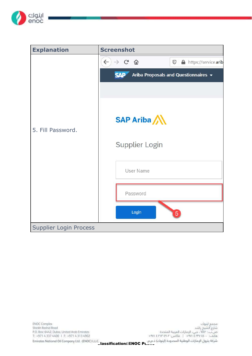

| <b>Explanation</b>            | <b>Screenshot</b>                                                             |
|-------------------------------|-------------------------------------------------------------------------------|
|                               | $\leftarrow$<br>$\rightarrow$ C A<br>$\circledcirc$<br>A https://service.arib |
|                               | <b>SAP</b><br>Ariba Proposals and Questionnaires v                            |
|                               |                                                                               |
|                               |                                                                               |
|                               | SAP Ariba                                                                     |
| 5. Fill Password.             |                                                                               |
|                               | Supplier Login                                                                |
|                               |                                                                               |
|                               | <b>User Name</b>                                                              |
|                               | Password                                                                      |
|                               | Login<br>5                                                                    |
| <b>Supplier Login Process</b> |                                                                               |